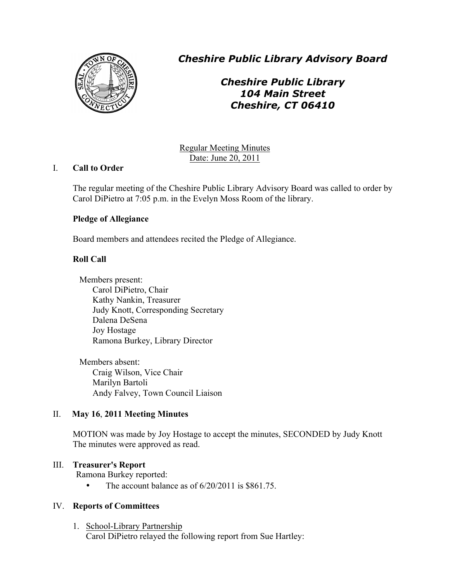

*Cheshire Public Library Advisory Board*

# *Cheshire Public Library 104 Main Street Cheshire, CT 06410*

Regular Meeting Minutes Date: June 20, 2011

# I. **Call to Order**

The regular meeting of the Cheshire Public Library Advisory Board was called to order by Carol DiPietro at 7:05 p.m. in the Evelyn Moss Room of the library.

# **Pledge of Allegiance**

Board members and attendees recited the Pledge of Allegiance.

# **Roll Call**

Members present: Carol DiPietro, Chair Kathy Nankin, Treasurer Judy Knott, Corresponding Secretary Dalena DeSena Joy Hostage Ramona Burkey, Library Director

Members absent: Craig Wilson, Vice Chair Marilyn Bartoli Andy Falvey, Town Council Liaison

# II. **May 16**, **2011 Meeting Minutes**

MOTION was made by Joy Hostage to accept the minutes, SECONDED by Judy Knott The minutes were approved as read.

# III. **Treasurer's Report**

Ramona Burkey reported:

• The account balance as of  $6/20/2011$  is \$861.75.

# IV. **Reports of Committees**

1. School-Library Partnership Carol DiPietro relayed the following report from Sue Hartley: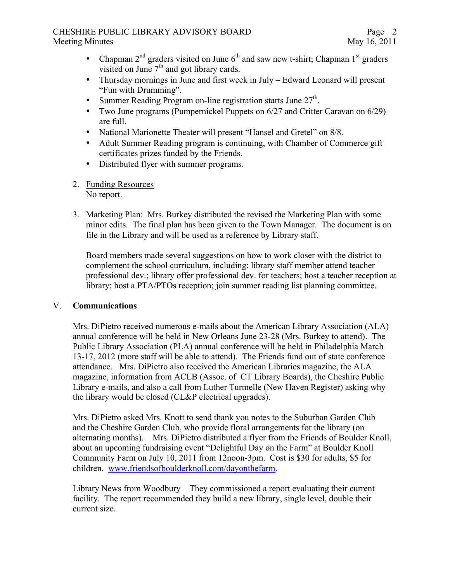#### CHESHIRE PUBLIC LIBRARY ADVISORY BOARD Meeting Minutes May 16, 2011

- Chapman  $2<sup>nd</sup>$  graders visited on June  $6<sup>th</sup>$  and saw new t-shirt; Chapman  $1<sup>st</sup>$  graders visited on June  $7<sup>th</sup>$  and got library cards.
- Thursday mornings in June and first week in July Edward Leonard will present "Fun with Drumming".
- Summer Reading Program on-line registration starts June  $27<sup>th</sup>$ .
- Two June programs (Pumpernickel Puppets on 6/27 and Critter Caravan on 6/29) are full.
- National Marionette Theater will present "Hansel and Gretel" on 8/8.
- Adult Summer Reading program is continuing, with Chamber of Commerce gift certificates prizes funded by the Friends.
- Distributed flyer with summer programs.
- 2. Funding Resources No report.
- 3. Marketing Plan: Mrs. Burkey distributed the revised the Marketing Plan with some minor edits. The final plan has been given to the Town Manager. The document is on file in the Library and will be used as a reference by Library staff.

Board members made several suggestions on how to work closer with the district to complement the school curriculum, including: library staff member attend teacher professional dev.; library offer professional dev. for teachers; host a teacher reception at library; host a PTA/PTOs reception; join summer reading list planning committee.

# V. **Communications**

Mrs. DiPietro received numerous e-mails about the American Library Association (ALA) annual conference will be held in New Orleans June 23-28 (Mrs. Burkey to attend). The Public Library Association (PLA) annual conference will be held in Philadelphia March 13-17, 2012 (more staff will be able to attend). The Friends fund out of state conference attendance. Mrs. DiPietro also received the American Libraries magazine, the ALA magazine, information from ACLB (Assoc. of CT Library Boards), the Cheshire Public Library e-mails, and also a call from Luther Turmelle (New Haven Register) asking why the library would be closed (CL&P electrical upgrades).

Mrs. DiPietro asked Mrs. Knott to send thank you notes to the Suburban Garden Club and the Cheshire Garden Club, who provide floral arrangements for the library (on alternating months). Mrs. DiPietro distributed a flyer from the Friends of Boulder Knoll, about an upcoming fundraising event "Delightful Day on the Farm" at Boulder Knoll Community Farm on July 10, 2011 from 12noon-3pm. Cost is \$30 for adults, \$5 for children. www.friendsofboulderknoll.com/dayonthefarm.

Library News from Woodbury – They commissioned a report evaluating their current facility. The report recommended they build a new library, single level, double their current size.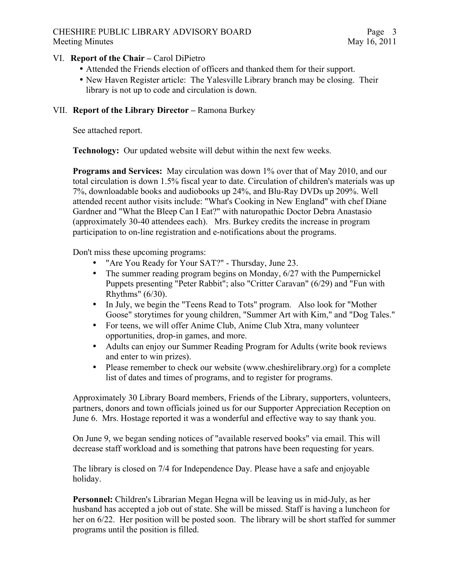#### CHESHIRE PUBLIC LIBRARY ADVISORY BOARD Meeting Minutes May 16, 2011

#### VI. **Report of the Chair –** Carol DiPietro

- Attended the Friends election of officers and thanked them for their support.
- New Haven Register article: The Yalesville Library branch may be closing. Their library is not up to code and circulation is down.

#### VII. **Report of the Library Director –** Ramona Burkey

See attached report.

**Technology:** Our updated website will debut within the next few weeks.

**Programs and Services:** May circulation was down 1% over that of May 2010, and our total circulation is down 1.5% fiscal year to date. Circulation of children's materials was up 7%, downloadable books and audiobooks up 24%, and Blu-Ray DVDs up 209%. Well attended recent author visits include: "What's Cooking in New England" with chef Diane Gardner and "What the Bleep Can I Eat?" with naturopathic Doctor Debra Anastasio (approximately 30-40 attendees each). Mrs. Burkey credits the increase in program participation to on-line registration and e-notifications about the programs.

Don't miss these upcoming programs:

- "Are You Ready for Your SAT?" Thursday, June 23.
- The summer reading program begins on Monday, 6/27 with the Pumpernickel Puppets presenting "Peter Rabbit"; also "Critter Caravan" (6/29) and "Fun with Rhythms" (6/30).
- In July, we begin the "Teens Read to Tots" program. Also look for "Mother Goose" storytimes for young children, "Summer Art with Kim," and "Dog Tales."
- For teens, we will offer Anime Club, Anime Club Xtra, many volunteer opportunities, drop-in games, and more.
- Adults can enjoy our Summer Reading Program for Adults (write book reviews and enter to win prizes).
- Please remember to check our website (www.cheshirelibrary.org) for a complete list of dates and times of programs, and to register for programs.

Approximately 30 Library Board members, Friends of the Library, supporters, volunteers, partners, donors and town officials joined us for our Supporter Appreciation Reception on June 6. Mrs. Hostage reported it was a wonderful and effective way to say thank you.

On June 9, we began sending notices of "available reserved books" via email. This will decrease staff workload and is something that patrons have been requesting for years.

The library is closed on 7/4 for Independence Day. Please have a safe and enjoyable holiday.

**Personnel:** Children's Librarian Megan Hegna will be leaving us in mid-July, as her husband has accepted a job out of state. She will be missed. Staff is having a luncheon for her on 6/22. Her position will be posted soon. The library will be short staffed for summer programs until the position is filled.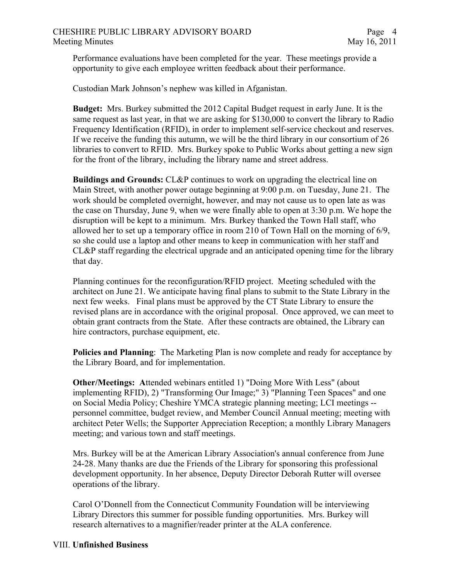Performance evaluations have been completed for the year. These meetings provide a opportunity to give each employee written feedback about their performance.

Custodian Mark Johnson's nephew was killed in Afganistan.

**Budget:** Mrs. Burkey submitted the 2012 Capital Budget request in early June. It is the same request as last year, in that we are asking for \$130,000 to convert the library to Radio Frequency Identification (RFID), in order to implement self-service checkout and reserves. If we receive the funding this autumn, we will be the third library in our consortium of 26 libraries to convert to RFID. Mrs. Burkey spoke to Public Works about getting a new sign for the front of the library, including the library name and street address.

**Buildings and Grounds:** CL&P continues to work on upgrading the electrical line on Main Street, with another power outage beginning at 9:00 p.m. on Tuesday, June 21. The work should be completed overnight, however, and may not cause us to open late as was the case on Thursday, June 9, when we were finally able to open at 3:30 p.m. We hope the disruption will be kept to a minimum. Mrs. Burkey thanked the Town Hall staff, who allowed her to set up a temporary office in room 210 of Town Hall on the morning of 6/9, so she could use a laptop and other means to keep in communication with her staff and CL&P staff regarding the electrical upgrade and an anticipated opening time for the library that day.

Planning continues for the reconfiguration/RFID project. Meeting scheduled with the architect on June 21. We anticipate having final plans to submit to the State Library in the next few weeks. Final plans must be approved by the CT State Library to ensure the revised plans are in accordance with the original proposal. Once approved, we can meet to obtain grant contracts from the State. After these contracts are obtained, the Library can hire contractors, purchase equipment, etc.

**Policies and Planning**: The Marketing Plan is now complete and ready for acceptance by the Library Board, and for implementation.

**Other/Meetings: A**ttended webinars entitled 1) "Doing More With Less" (about implementing RFID), 2) "Transforming Our Image;" 3) "Planning Teen Spaces" and one on Social Media Policy; Cheshire YMCA strategic planning meeting; LCI meetings - personnel committee, budget review, and Member Council Annual meeting; meeting with architect Peter Wells; the Supporter Appreciation Reception; a monthly Library Managers meeting; and various town and staff meetings.

Mrs. Burkey will be at the American Library Association's annual conference from June 24-28. Many thanks are due the Friends of the Library for sponsoring this professional development opportunity. In her absence, Deputy Director Deborah Rutter will oversee operations of the library.

Carol O'Donnell from the Connecticut Community Foundation will be interviewing Library Directors this summer for possible funding opportunities. Mrs. Burkey will research alternatives to a magnifier/reader printer at the ALA conference.